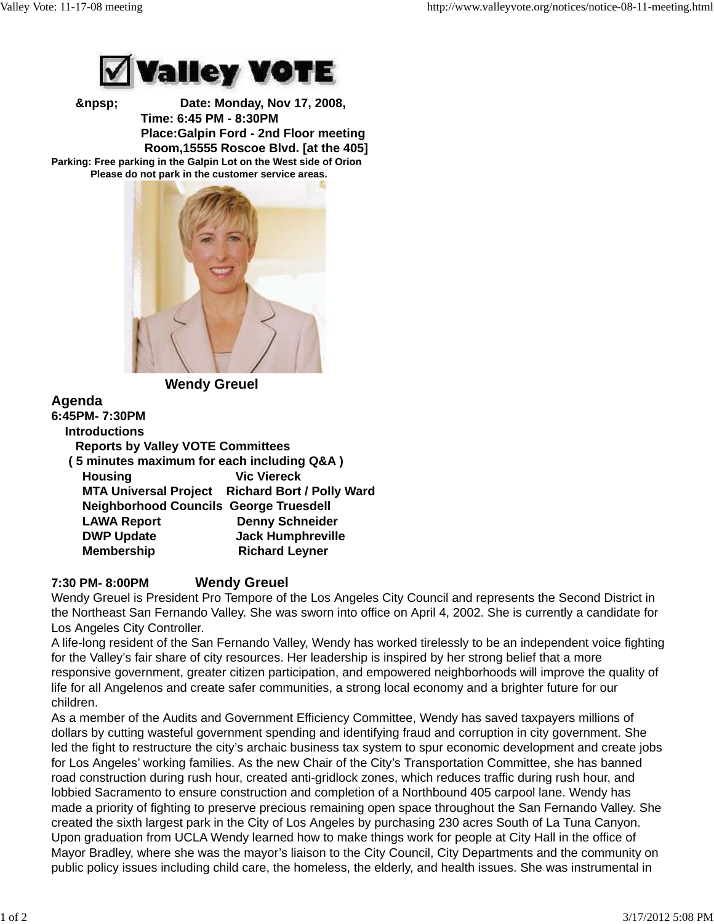

 **&npsp; Date: Monday, Nov 17, 2008, Time: 6:45 PM - 8:30PM Place:Galpin Ford - 2nd Floor meeting Room,15555 Roscoe Blvd. [at the 405] Parking: Free parking in the Galpin Lot on the West side of Orion Please do not park in the customer service areas.**



 **Wendy Greuel**

**Agenda 6:45PM- 7:30PM Introductions Reports by Valley VOTE Committees ( 5 minutes maximum for each including Q&A ) Housing Wic Viereck MTA Universal Project Richard Bort / Polly Ward Neighborhood Councils George Truesdell LAWA Report Denny Schneider DWP Update Jack Humphreville Membership Richard Leyner** 

## **7:30 PM- 8:00PM Wendy Greuel**

Wendy Greuel is President Pro Tempore of the Los Angeles City Council and represents the Second District in the Northeast San Fernando Valley. She was sworn into office on April 4, 2002. She is currently a candidate for Los Angeles City Controller.

A life-long resident of the San Fernando Valley, Wendy has worked tirelessly to be an independent voice fighting for the Valley's fair share of city resources. Her leadership is inspired by her strong belief that a more responsive government, greater citizen participation, and empowered neighborhoods will improve the quality of life for all Angelenos and create safer communities, a strong local economy and a brighter future for our children.

As a member of the Audits and Government Efficiency Committee, Wendy has saved taxpayers millions of dollars by cutting wasteful government spending and identifying fraud and corruption in city government. She led the fight to restructure the city's archaic business tax system to spur economic development and create jobs for Los Angeles' working families. As the new Chair of the City's Transportation Committee, she has banned road construction during rush hour, created anti-gridlock zones, which reduces traffic during rush hour, and lobbied Sacramento to ensure construction and completion of a Northbound 405 carpool lane. Wendy has made a priority of fighting to preserve precious remaining open space throughout the San Fernando Valley. She created the sixth largest park in the City of Los Angeles by purchasing 230 acres South of La Tuna Canyon. Upon graduation from UCLA Wendy learned how to make things work for people at City Hall in the office of Mayor Bradley, where she was the mayor's liaison to the City Council, City Departments and the community on public policy issues including child care, the homeless, the elderly, and health issues. She was instrumental in